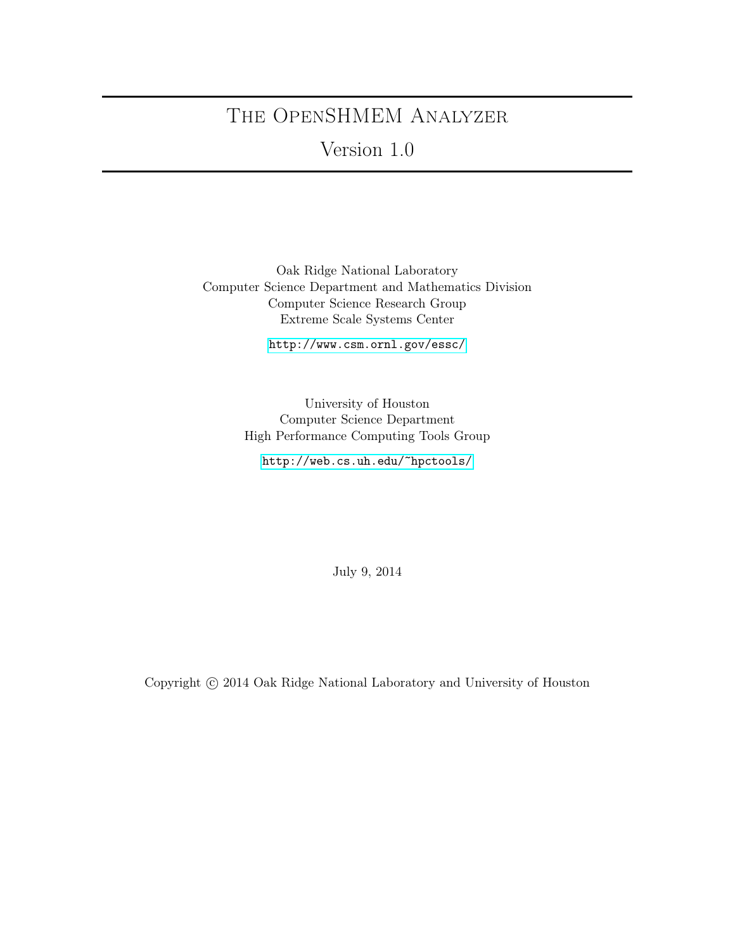# The OpenSHMEM Analyzer

Version 1.0

Oak Ridge National Laboratory Computer Science Department and Mathematics Division Computer Science Research Group Extreme Scale Systems Center

<http://www.csm.ornl.gov/essc/>

University of Houston Computer Science Department High Performance Computing Tools Group

<http://web.cs.uh.edu/~hpctools/>

July 9, 2014

Copyright  $\odot$  2014 Oak Ridge National Laboratory and University of Houston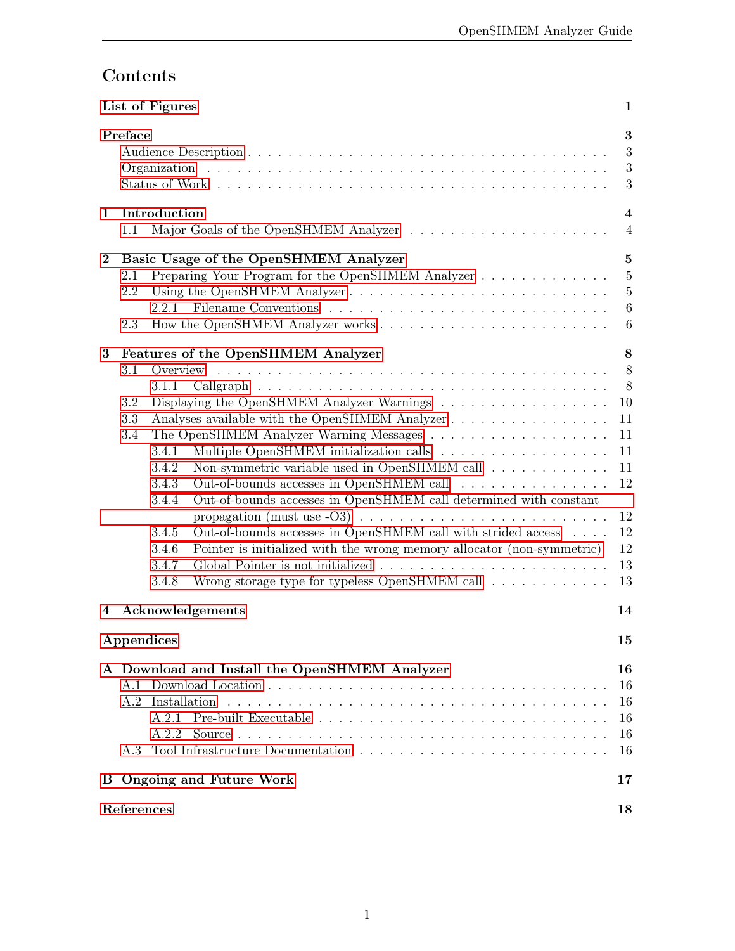# Contents

|          | List of Figures<br>1                                                                                                                                                                                                                                                                                                                                                                                                                                                                                                                                                                                     |                                                                               |  |  |  |
|----------|----------------------------------------------------------------------------------------------------------------------------------------------------------------------------------------------------------------------------------------------------------------------------------------------------------------------------------------------------------------------------------------------------------------------------------------------------------------------------------------------------------------------------------------------------------------------------------------------------------|-------------------------------------------------------------------------------|--|--|--|
|          | Preface                                                                                                                                                                                                                                                                                                                                                                                                                                                                                                                                                                                                  | 3<br>3<br>$\sqrt{3}$<br>3                                                     |  |  |  |
| 1.       | Introduction<br>1.1                                                                                                                                                                                                                                                                                                                                                                                                                                                                                                                                                                                      | $\overline{\mathbf{4}}$<br>$\overline{4}$                                     |  |  |  |
| $\bf{2}$ | Basic Usage of the OpenSHMEM Analyzer<br>Preparing Your Program for the OpenSHMEM Analyzer<br>2.1<br>Using the OpenSHMEM Analyzer<br>2.2<br>2.2.1<br>2.3                                                                                                                                                                                                                                                                                                                                                                                                                                                 | $\mathbf{5}$<br>$\overline{5}$<br>$\overline{5}$<br>$6\phantom{.}6$<br>6      |  |  |  |
| 3        | <b>Features of the OpenSHMEM Analyzer</b><br>3.1<br>3.1.1<br>3.2<br>Analyses available with the OpenSHMEM Analyzer<br>3.3<br>3.4<br>3.4.1<br>Non-symmetric variable used in OpenSHMEM call<br>3.4.2<br>Out-of-bounds accesses in OpenSHMEM call<br>3.4.3<br>Out-of-bounds accesses in OpenSHMEM call determined with constant<br>3.4.4<br>Out-of-bounds accesses in OpenSHMEM call with strided access $\ldots$ .<br>3.4.5<br>Pointer is initialized with the wrong memory allocator (non-symmetric)<br>3.4.6<br>3.4.7<br>Wrong storage type for typeless OpenSHMEM call $\ldots \ldots \ldots$<br>3.4.8 | 8<br>8<br>8<br>10<br>11<br>11<br>11<br>11<br>12<br>12<br>12<br>12<br>13<br>13 |  |  |  |
| 4        | Acknowledgements                                                                                                                                                                                                                                                                                                                                                                                                                                                                                                                                                                                         | 14                                                                            |  |  |  |
|          | Appendices                                                                                                                                                                                                                                                                                                                                                                                                                                                                                                                                                                                               | 15                                                                            |  |  |  |
|          | A Download and Install the OpenSHMEM Analyzer<br>A.2 Installation<br>A.2.2<br>A.3                                                                                                                                                                                                                                                                                                                                                                                                                                                                                                                        | 16<br>16<br>16<br>16<br>16<br>16                                              |  |  |  |
|          | <b>B</b> Ongoing and Future Work                                                                                                                                                                                                                                                                                                                                                                                                                                                                                                                                                                         | 17                                                                            |  |  |  |
|          | References<br>18                                                                                                                                                                                                                                                                                                                                                                                                                                                                                                                                                                                         |                                                                               |  |  |  |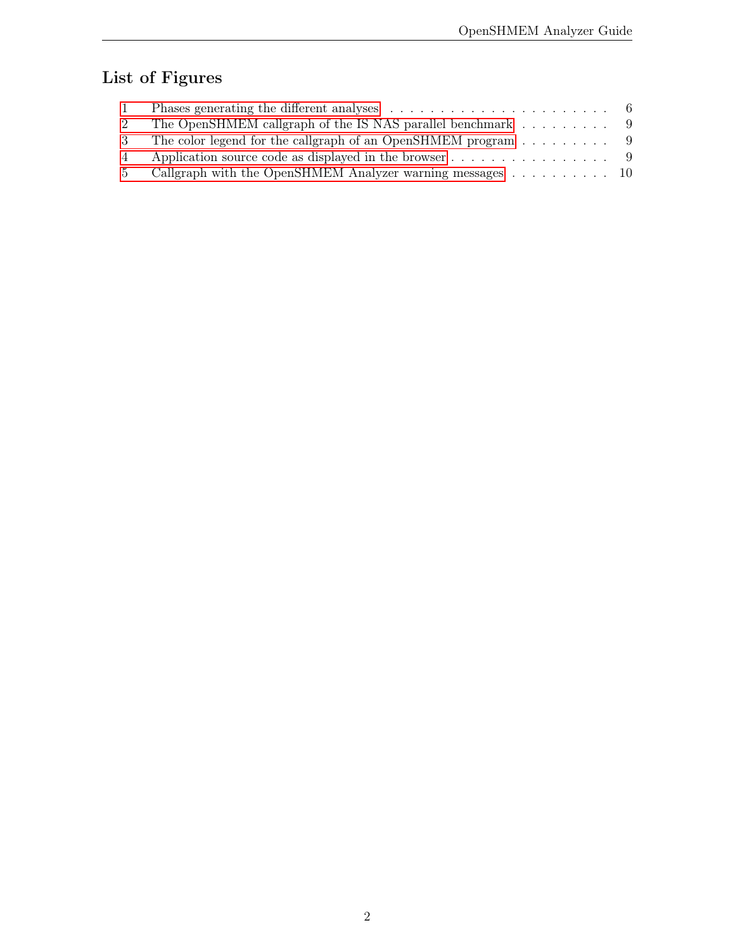# <span id="page-2-0"></span>List of Figures

|   | The OpenSHMEM callgraph of the IS NAS parallel benchmark $\dots \dots \dots$   |  |
|---|--------------------------------------------------------------------------------|--|
|   | The color legend for the callgraph of an OpenSHMEM program $\dots \dots \dots$ |  |
| 4 | Application source code as displayed in the browser 9                          |  |
|   | Callgraph with the OpenSHMEM Analyzer warning messages 10                      |  |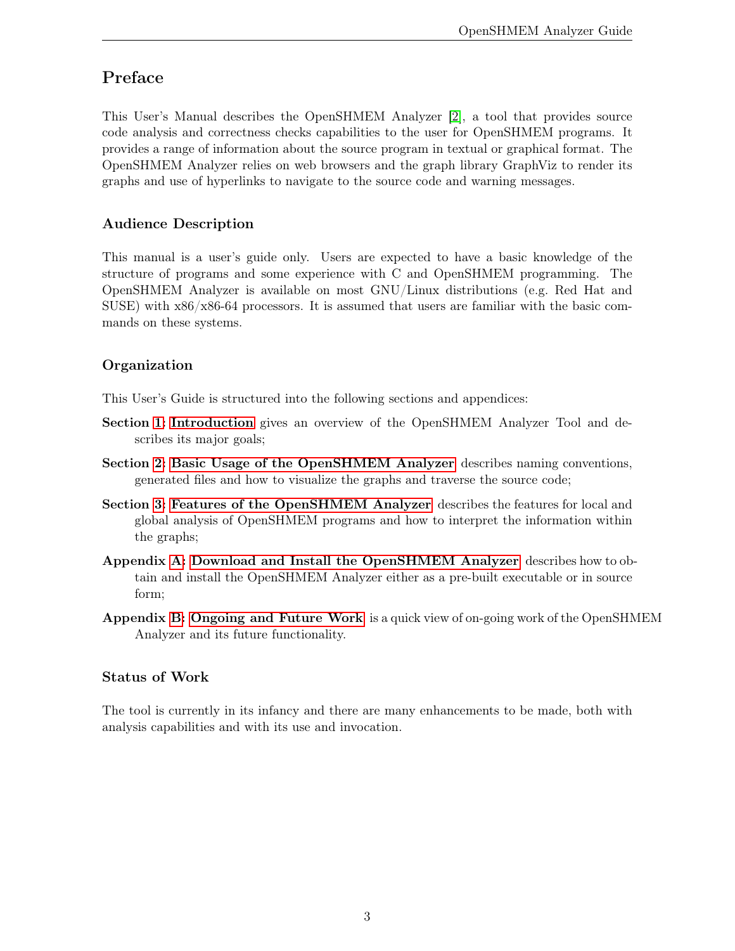# <span id="page-3-0"></span>Preface

This User's Manual describes the OpenSHMEM Analyzer [\[2\]](#page-18-1), a tool that provides source code analysis and correctness checks capabilities to the user for OpenSHMEM programs. It provides a range of information about the source program in textual or graphical format. The OpenSHMEM Analyzer relies on web browsers and the graph library GraphViz to render its graphs and use of hyperlinks to navigate to the source code and warning messages.

### <span id="page-3-1"></span>Audience Description

This manual is a user's guide only. Users are expected to have a basic knowledge of the structure of programs and some experience with C and OpenSHMEM programming. The OpenSHMEM Analyzer is available on most GNU/Linux distributions (e.g. Red Hat and SUSE) with  $x86/x86-64$  processors. It is assumed that users are familiar with the basic commands on these systems.

### <span id="page-3-2"></span>**Organization**

This User's Guide is structured into the following sections and appendices:

- Section [1: Introduction](#page-4-0) gives an overview of the OpenSHMEM Analyzer Tool and describes its major goals;
- Section [2: Basic Usage of the OpenSHMEM Analyzer](#page-5-0) describes naming conventions, generated files and how to visualize the graphs and traverse the source code;
- Section [3: Features of the OpenSHMEM Analyzer](#page-8-0) describes the features for local and global analysis of OpenSHMEM programs and how to interpret the information within the graphs;
- Appendix [A: Download and Install the OpenSHMEM Analyzer](#page-16-0) describes how to obtain and install the OpenSHMEM Analyzer either as a pre-built executable or in source form;
- Appendix [B: Ongoing and Future Work](#page-17-0) is a quick view of on-going work of the OpenSHMEM Analyzer and its future functionality.

### <span id="page-3-3"></span>Status of Work

The tool is currently in its infancy and there are many enhancements to be made, both with analysis capabilities and with its use and invocation.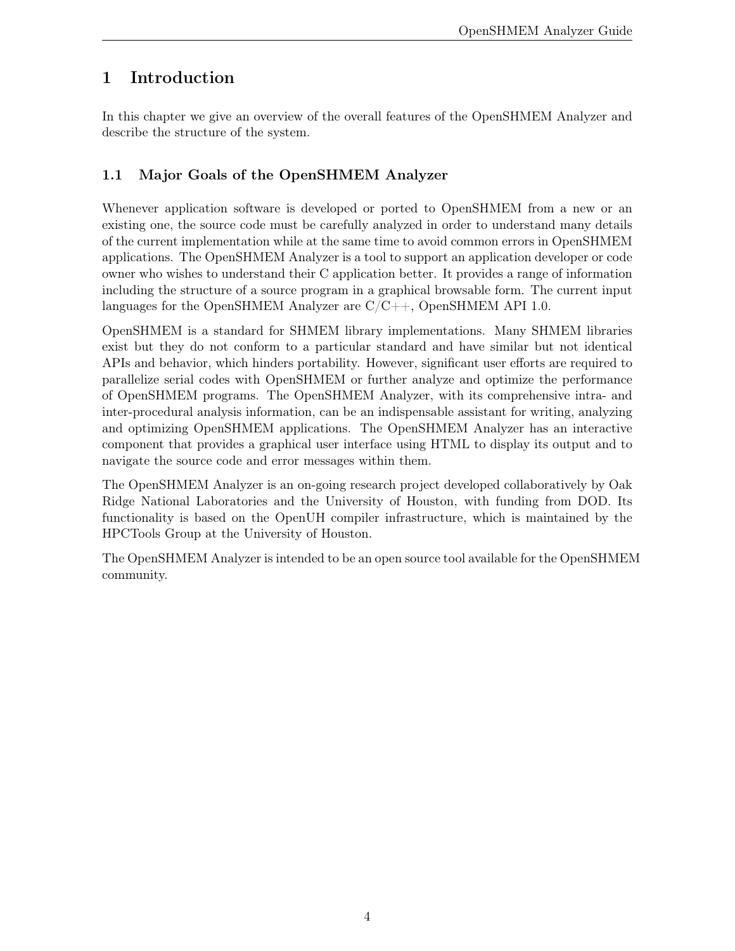# <span id="page-4-0"></span>1 Introduction

In this chapter we give an overview of the overall features of the OpenSHMEM Analyzer and describe the structure of the system.

# <span id="page-4-1"></span>1.1 Major Goals of the OpenSHMEM Analyzer

Whenever application software is developed or ported to OpenSHMEM from a new or an existing one, the source code must be carefully analyzed in order to understand many details of the current implementation while at the same time to avoid common errors in OpenSHMEM applications. The OpenSHMEM Analyzer is a tool to support an application developer or code owner who wishes to understand their C application better. It provides a range of information including the structure of a source program in a graphical browsable form. The current input languages for the OpenSHMEM Analyzer are  $C/C++$ , OpenSHMEM API 1.0.

OpenSHMEM is a standard for SHMEM library implementations. Many SHMEM libraries exist but they do not conform to a particular standard and have similar but not identical APIs and behavior, which hinders portability. However, significant user efforts are required to parallelize serial codes with OpenSHMEM or further analyze and optimize the performance of OpenSHMEM programs. The OpenSHMEM Analyzer, with its comprehensive intra- and inter-procedural analysis information, can be an indispensable assistant for writing, analyzing and optimizing OpenSHMEM applications. The OpenSHMEM Analyzer has an interactive component that provides a graphical user interface using HTML to display its output and to navigate the source code and error messages within them.

The OpenSHMEM Analyzer is an on-going research project developed collaboratively by Oak Ridge National Laboratories and the University of Houston, with funding from DOD. Its functionality is based on the OpenUH compiler infrastructure, which is maintained by the HPCTools Group at the University of Houston.

The OpenSHMEM Analyzer is intended to be an open source tool available for the OpenSHMEM community.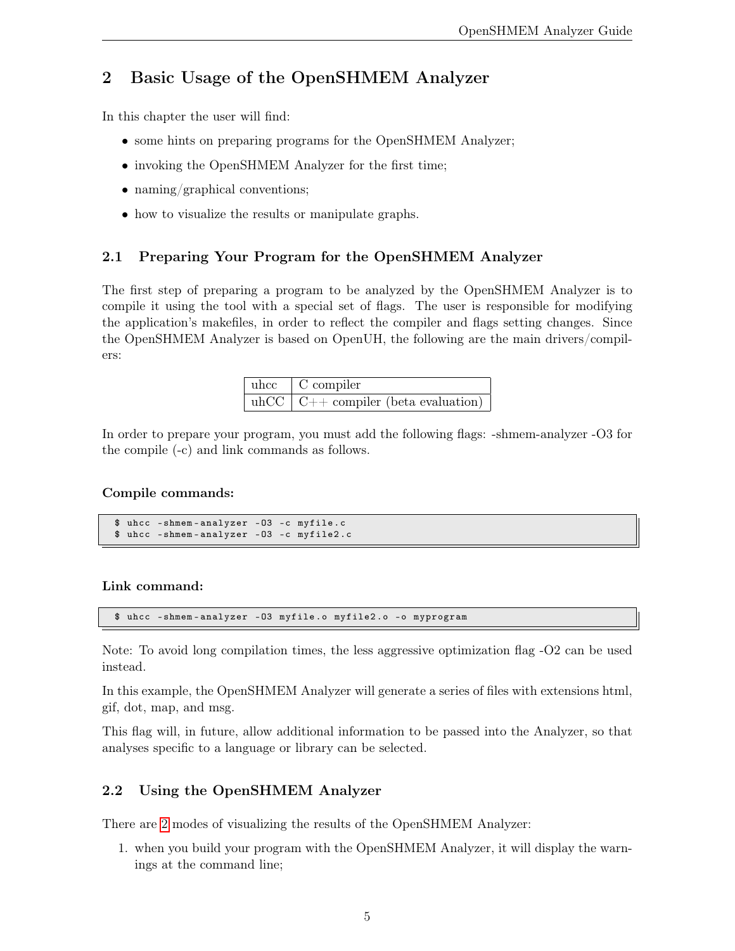# <span id="page-5-0"></span>2 Basic Usage of the OpenSHMEM Analyzer

In this chapter the user will find:

- some hints on preparing programs for the OpenSHMEM Analyzer;
- invoking the OpenSHMEM Analyzer for the first time;
- naming/graphical conventions;
- how to visualize the results or manipulate graphs.

#### <span id="page-5-1"></span>2.1 Preparing Your Program for the OpenSHMEM Analyzer

The first step of preparing a program to be analyzed by the OpenSHMEM Analyzer is to compile it using the tool with a special set of flags. The user is responsible for modifying the application's makefiles, in order to reflect the compiler and flags setting changes. Since the OpenSHMEM Analyzer is based on OpenUH, the following are the main drivers/compilers:

| $\mu$ compiler                              |
|---------------------------------------------|
| uhCC $\vert$ C++ compiler (beta evaluation) |

In order to prepare your program, you must add the following flags: -shmem-analyzer -O3 for the compile (-c) and link commands as follows.

#### Compile commands:

```
$ uhcc - shmem - analyzer -O3 -c myfile . c
$ uhcc - shmem - analyzer -O3 -c myfile2 .c
```
#### Link command:

\$ uhcc - shmem - analyzer -O3 myfile .o myfile2 .o -o myprogram

Note: To avoid long compilation times, the less aggressive optimization flag -O2 can be used instead.

In this example, the OpenSHMEM Analyzer will generate a series of files with extensions html, gif, dot, map, and msg.

This flag will, in future, allow additional information to be passed into the Analyzer, so that analyses specific to a language or library can be selected.

#### <span id="page-5-2"></span>2.2 Using the OpenSHMEM Analyzer

There are [2](#page-6-3) modes of visualizing the results of the OpenSHMEM Analyzer:

1. when you build your program with the OpenSHMEM Analyzer, it will display the warnings at the command line;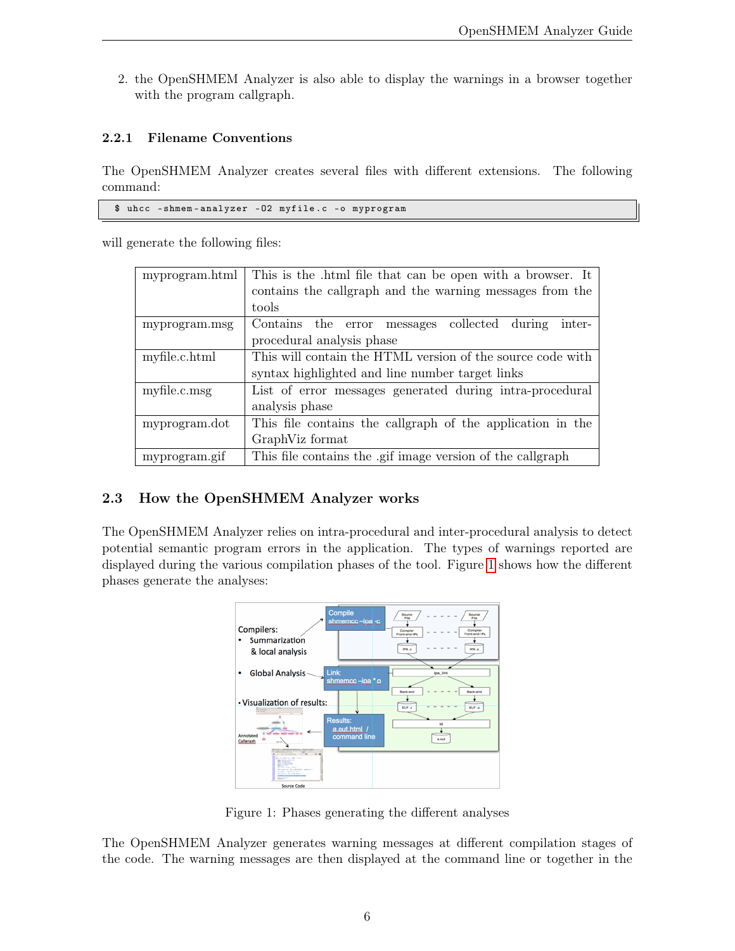<span id="page-6-3"></span>2. the OpenSHMEM Analyzer is also able to display the warnings in a browser together with the program callgraph.

#### <span id="page-6-0"></span>2.2.1 Filename Conventions

The OpenSHMEM Analyzer creates several files with different extensions. The following command:

\$ uhcc - shmem - analyzer -O2 myfile .c -o myprogram

will generate the following files:

| myprogram.html | This is the .html file that can be open with a browser. It |  |  |
|----------------|------------------------------------------------------------|--|--|
|                | contains the callgraph and the warning messages from the   |  |  |
|                | tools                                                      |  |  |
| myprogram.msg  | Contains the error messages collected during<br>inter-     |  |  |
|                | procedural analysis phase                                  |  |  |
| myfile.c.html  | This will contain the HTML version of the source code with |  |  |
|                | syntax highlighted and line number target links            |  |  |
| myfile.c.msg   | List of error messages generated during intra-procedural   |  |  |
|                | analysis phase                                             |  |  |
| myprogram.dot  | This file contains the callgraph of the application in the |  |  |
|                | GraphViz format                                            |  |  |
| myprogram.gif  | This file contains the .gif image version of the callgraph |  |  |

#### <span id="page-6-1"></span>2.3 How the OpenSHMEM Analyzer works

The OpenSHMEM Analyzer relies on intra-procedural and inter-procedural analysis to detect potential semantic program errors in the application. The types of warnings reported are displayed during the various compilation phases of the tool. Figure [1](#page-6-2) shows how the different phases generate the analyses:



<span id="page-6-2"></span>Figure 1: Phases generating the different analyses

The OpenSHMEM Analyzer generates warning messages at different compilation stages of the code. The warning messages are then displayed at the command line or together in the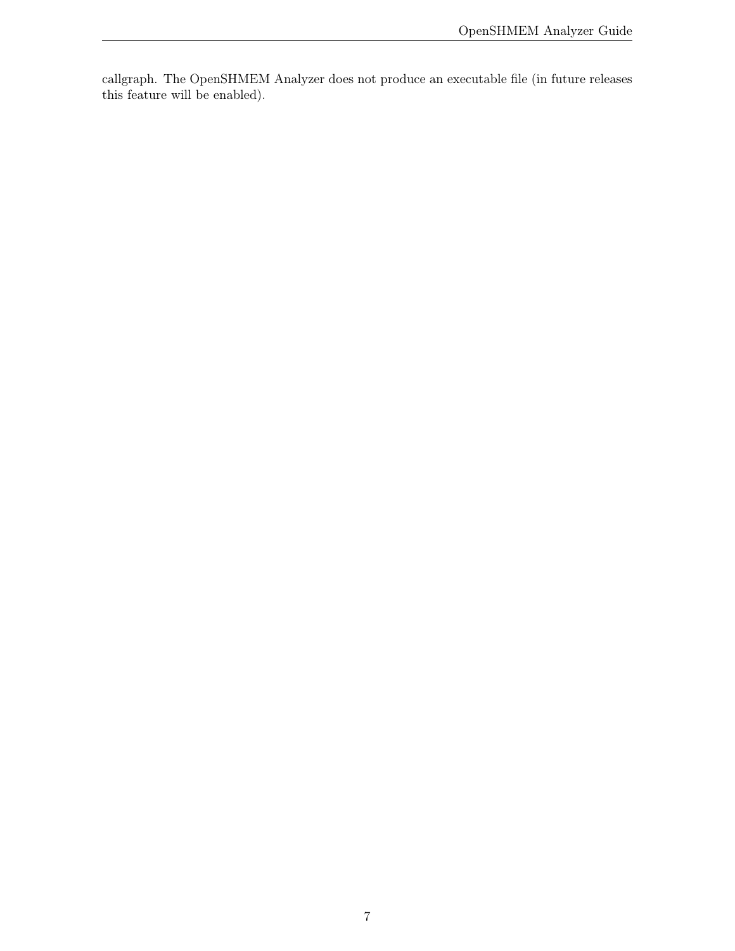callgraph. The OpenSHMEM Analyzer does not produce an executable file (in future releases this feature will be enabled).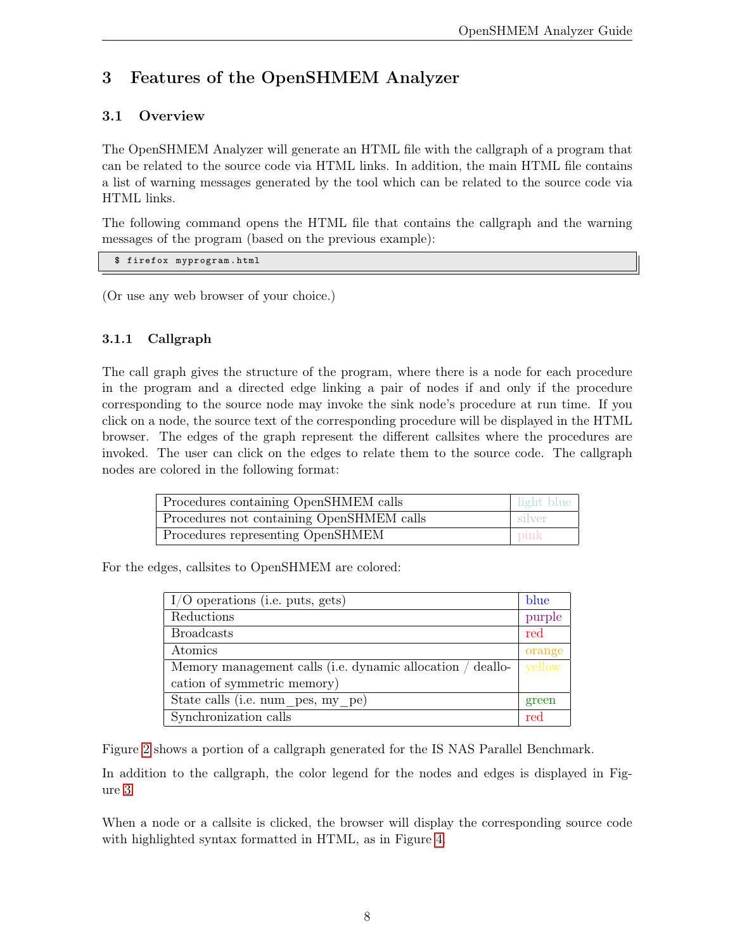# <span id="page-8-0"></span>3 Features of the OpenSHMEM Analyzer

### <span id="page-8-1"></span>3.1 Overview

The OpenSHMEM Analyzer will generate an HTML file with the callgraph of a program that can be related to the source code via HTML links. In addition, the main HTML file contains a list of warning messages generated by the tool which can be related to the source code via HTML links.

The following command opens the HTML file that contains the callgraph and the warning messages of the program (based on the previous example):

```
$ firefox myprogram . html
```
(Or use any web browser of your choice.)

### <span id="page-8-2"></span>3.1.1 Callgraph

The call graph gives the structure of the program, where there is a node for each procedure in the program and a directed edge linking a pair of nodes if and only if the procedure corresponding to the source node may invoke the sink node's procedure at run time. If you click on a node, the source text of the corresponding procedure will be displayed in the HTML browser. The edges of the graph represent the different callsites where the procedures are invoked. The user can click on the edges to relate them to the source code. The callgraph nodes are colored in the following format:

| Procedures containing OpenSHMEM calls     | l light blue |
|-------------------------------------------|--------------|
| Procedures not containing OpenSHMEM calls | ∟silver      |
| Procedures representing OpenSHMEM         | pink         |

For the edges, callsites to OpenSHMEM are colored:

| $I/O$ operations (i.e. puts, gets)                         | blue   |
|------------------------------------------------------------|--------|
| Reductions                                                 | purple |
| <b>Broadcasts</b>                                          | red    |
| Atomics                                                    | orange |
| Memory management calls (i.e. dynamic allocation / deallo- | yellow |
| cation of symmetric memory)                                |        |
| State calls (i.e. num pes, my pe)                          | green  |
| Synchronization calls                                      | red    |

Figure [2](#page-9-1) shows a portion of a callgraph generated for the IS NAS Parallel Benchmark.

In addition to the callgraph, the color legend for the nodes and edges is displayed in Figure [3](#page-9-2)

When a node or a callsite is clicked, the browser will display the corresponding source code with highlighted syntax formatted in HTML, as in Figure [4.](#page-9-3)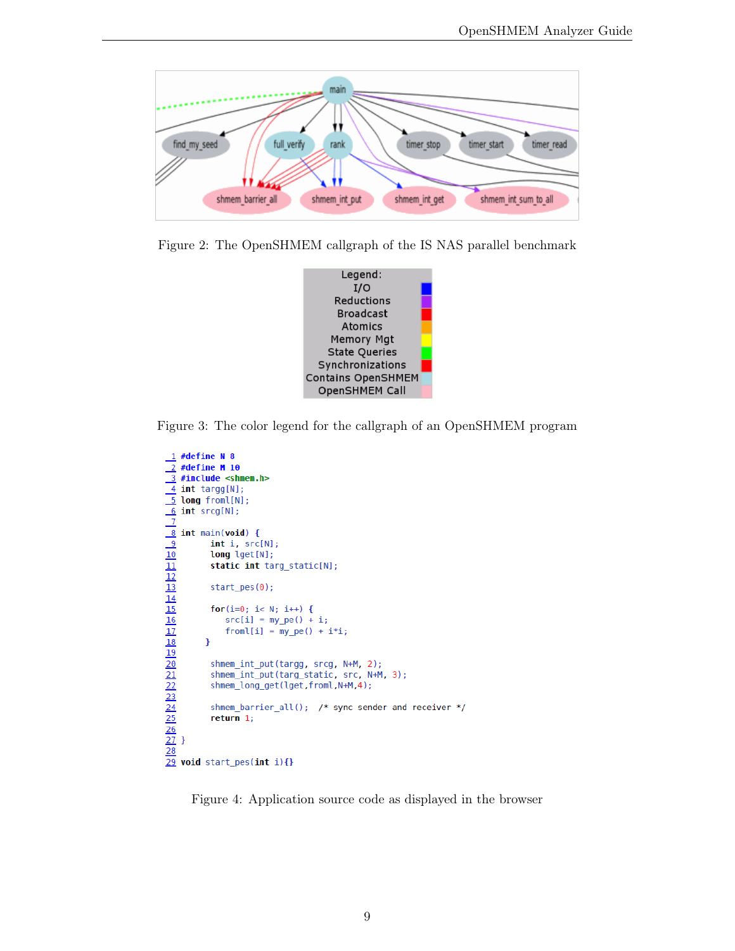

<span id="page-9-1"></span>Figure 2: The OpenSHMEM callgraph of the IS NAS parallel benchmark



<span id="page-9-2"></span>Figure 3: The color legend for the callgraph of an OpenSHMEM program

```
\frac{1}{2} #define N 8<br>\frac{2}{2} #define M 10
\frac{1}{2} #define N 8<br>
\frac{2}{3} #define M 10<br>
\frac{3}{4} int targg[N];<br>
\frac{4}{5} int targg[N];<br>
\frac{6}{5} int srcg[N];<br>
\frac{8}{3} int main(void) {<br>
int i, src[N];<br>
long lget[N];<br>
static int targ_st<br>
\frac{10}{12} start_pes
                  static int targ_static[N];
                   for(i=0; i < N; i++) {
                        src[i] = my_pe() + i;from [i] = my_pe() + i * i;shmem_int_put(targg, srcg, N+M, 2);
                   shmem_int_put(targ_static, src, N+M, 3);
                   shmem_long_get(lget,froml,N+M,4);
                   shmem_barrier_all(); /* sync sender and receiver */
```
<span id="page-9-3"></span><span id="page-9-0"></span>Figure 4: Application source code as displayed in the browser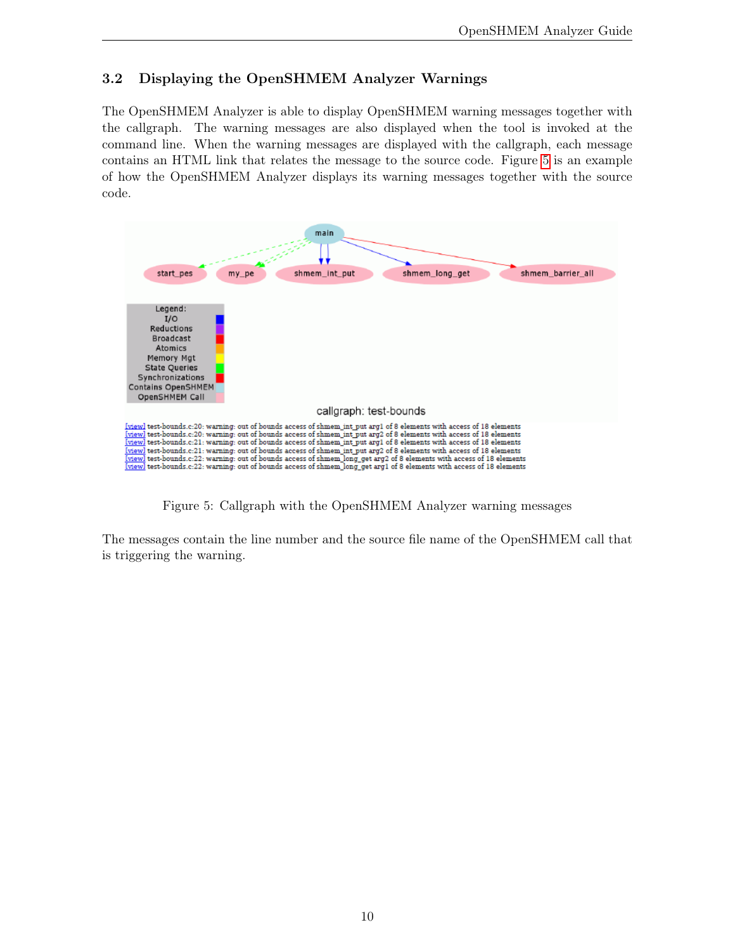### 3.2 Displaying the OpenSHMEM Analyzer Warnings

The OpenSHMEM Analyzer is able to display OpenSHMEM warning messages together with the callgraph. The warning messages are also displayed when the tool is invoked at the command line. When the warning messages are displayed with the callgraph, each message contains an HTML link that relates the message to the source code. Figure [5](#page-10-0) is an example of how the OpenSHMEM Analyzer displays its warning messages together with the source code.



<span id="page-10-0"></span>Figure 5: Callgraph with the OpenSHMEM Analyzer warning messages

The messages contain the line number and the source file name of the OpenSHMEM call that is triggering the warning.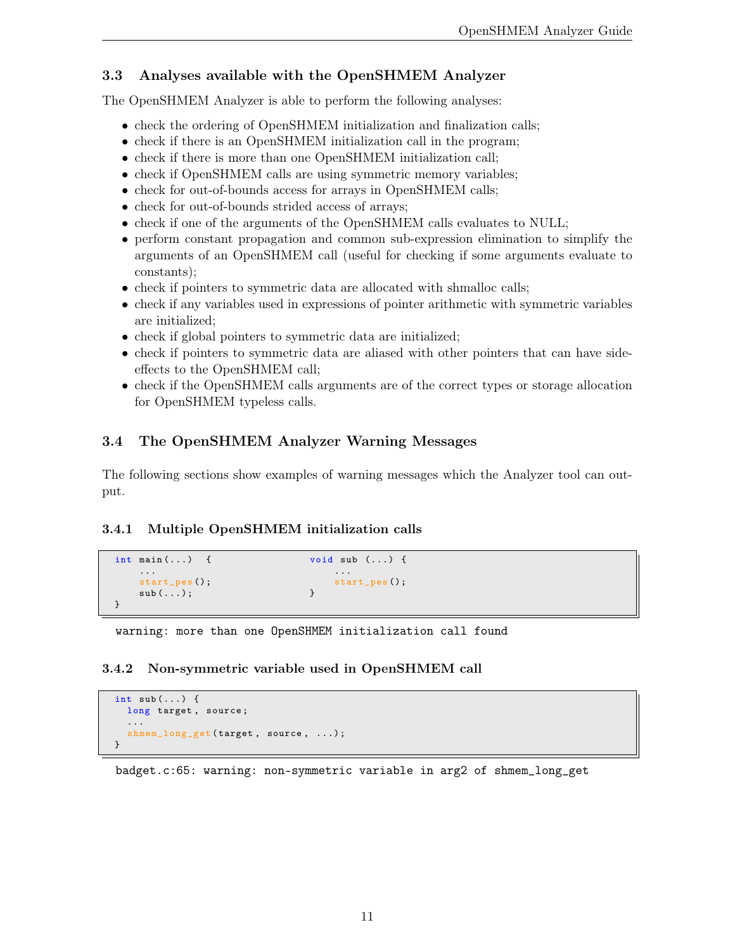### <span id="page-11-0"></span>3.3 Analyses available with the OpenSHMEM Analyzer

The OpenSHMEM Analyzer is able to perform the following analyses:

- check the ordering of OpenSHMEM initialization and finalization calls;
- check if there is an OpenSHMEM initialization call in the program;
- check if there is more than one OpenSHMEM initialization call;
- check if OpenSHMEM calls are using symmetric memory variables;
- check for out-of-bounds access for arrays in OpenSHMEM calls;
- check for out-of-bounds strided access of arrays;
- check if one of the arguments of the OpenSHMEM calls evaluates to NULL;
- perform constant propagation and common sub-expression elimination to simplify the arguments of an OpenSHMEM call (useful for checking if some arguments evaluate to constants);
- check if pointers to symmetric data are allocated with shmalloc calls;
- check if any variables used in expressions of pointer arithmetic with symmetric variables are initialized;
- check if global pointers to symmetric data are initialized;
- check if pointers to symmetric data are aliased with other pointers that can have sideeffects to the OpenSHMEM call;
- check if the OpenSHMEM calls arguments are of the correct types or storage allocation for OpenSHMEM typeless calls.

## <span id="page-11-1"></span>3.4 The OpenSHMEM Analyzer Warning Messages

The following sections show examples of warning messages which the Analyzer tool can output.

#### <span id="page-11-2"></span>3.4.1 Multiple OpenSHMEM initialization calls

```
int main (...) { void sub (...) {
  ... ...
  start_pes ();<br>sub(...);<br>}<br>}
  sub(...;
}
```
warning: more than one OpenSHMEM initialization call found

#### <span id="page-11-3"></span>3.4.2 Non-symmetric variable used in OpenSHMEM call

```
int sub (...) {
  long target, source;
  ...
  shmem_long_get (target, source, ...);
}
```
badget.c:65: warning: non-symmetric variable in arg2 of shmem\_long\_get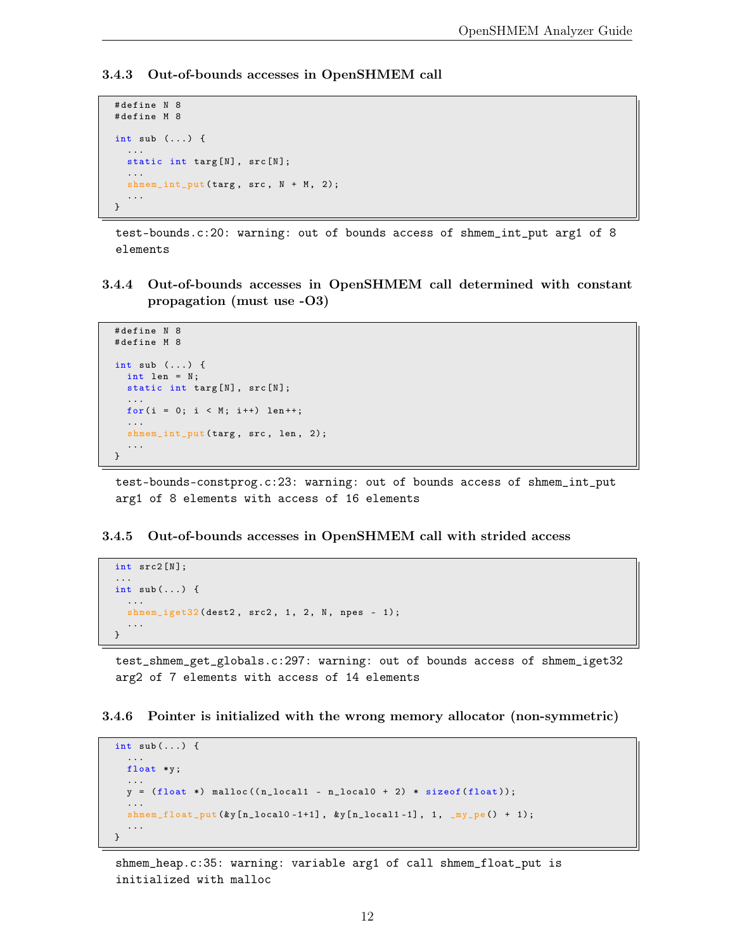#### <span id="page-12-0"></span>3.4.3 Out-of-bounds accesses in OpenSHMEM call

```
# define N 8
# define M 8
int sub (...) {
  ...
  static int targ[N], src[N];
  ...
  shmem\_int\_put(targ, src, N + M, 2);...
}
```
test-bounds.c:20: warning: out of bounds access of shmem\_int\_put arg1 of 8 elements

<span id="page-12-1"></span>3.4.4 Out-of-bounds accesses in OpenSHMEM call determined with constant propagation (must use -O3)

```
# define N 8
# define M 8
int sub (...) {
  int len = N;
  static int targ[N], src[N];
  ...
 for (i = 0; i < M; i++) len++;
  ...
  shmem_int_put (targ, src, len, 2);
  ...
}
```
test-bounds-constprog.c:23: warning: out of bounds access of shmem\_int\_put arg1 of 8 elements with access of 16 elements

#### <span id="page-12-2"></span>3.4.5 Out-of-bounds accesses in OpenSHMEM call with strided access

```
int src2 [N];
...
int sub(...) {
  ...
  shmem_iget32(dest2, src2, 1, 2, N, npes - 1);
  ...
}
```
test\_shmem\_get\_globals.c:297: warning: out of bounds access of shmem\_iget32 arg2 of 7 elements with access of 14 elements

<span id="page-12-3"></span>3.4.6 Pointer is initialized with the wrong memory allocator (non-symmetric)

```
int sub(...) {
  ...
  float *y;
  ...
  y = (float * ) <math>malloc((n\_local1 - n\_local0 + 2) * sizeof(fload));</math>...
  shmem_float_put (& y[ n_local0 -1+1] , &y [ n_local1 -1] , 1, _my_pe () + 1);
  ...
}
```
shmem\_heap.c:35: warning: variable arg1 of call shmem\_float\_put is initialized with malloc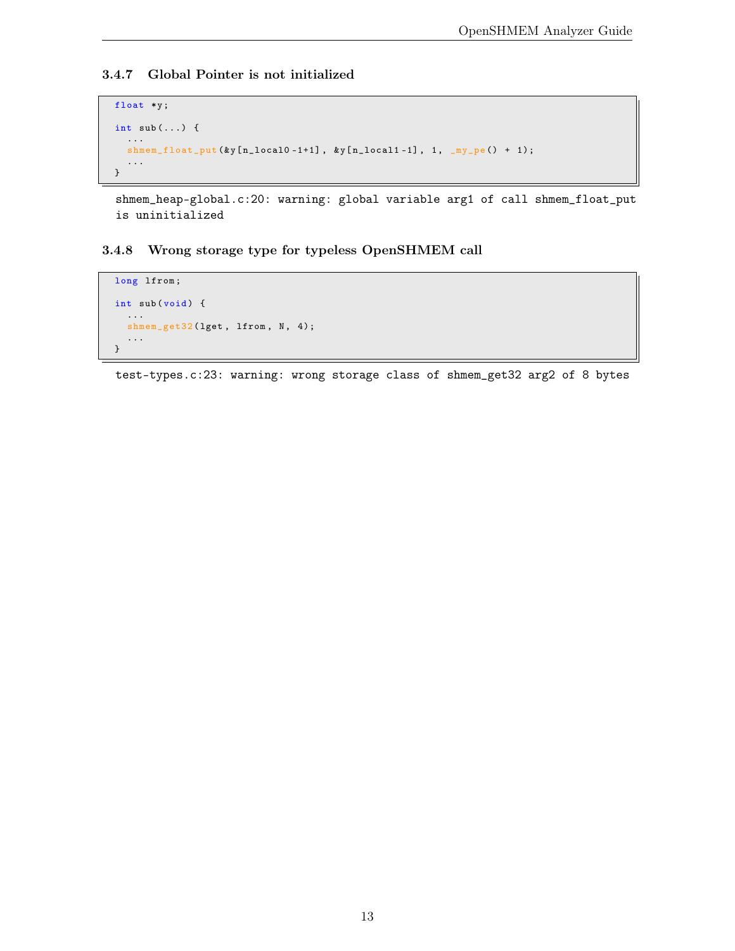#### <span id="page-13-0"></span>3.4.7 Global Pointer is not initialized

```
float *y ;
int sub (...) {
   ...
   shmem_float_put (ky [n_local0 -1+1],                ky [n_local1 -1], 1, _my_pe () + 1);
   ...
}
```
shmem\_heap-global.c:20: warning: global variable arg1 of call shmem\_float\_put is uninitialized

#### <span id="page-13-1"></span>3.4.8 Wrong storage type for typeless OpenSHMEM call

```
long lfrom;
int sub(void) {
  ...
  shmem_get32(lget, lfrom, N, 4);
  ...
}
```
test-types.c:23: warning: wrong storage class of shmem\_get32 arg2 of 8 bytes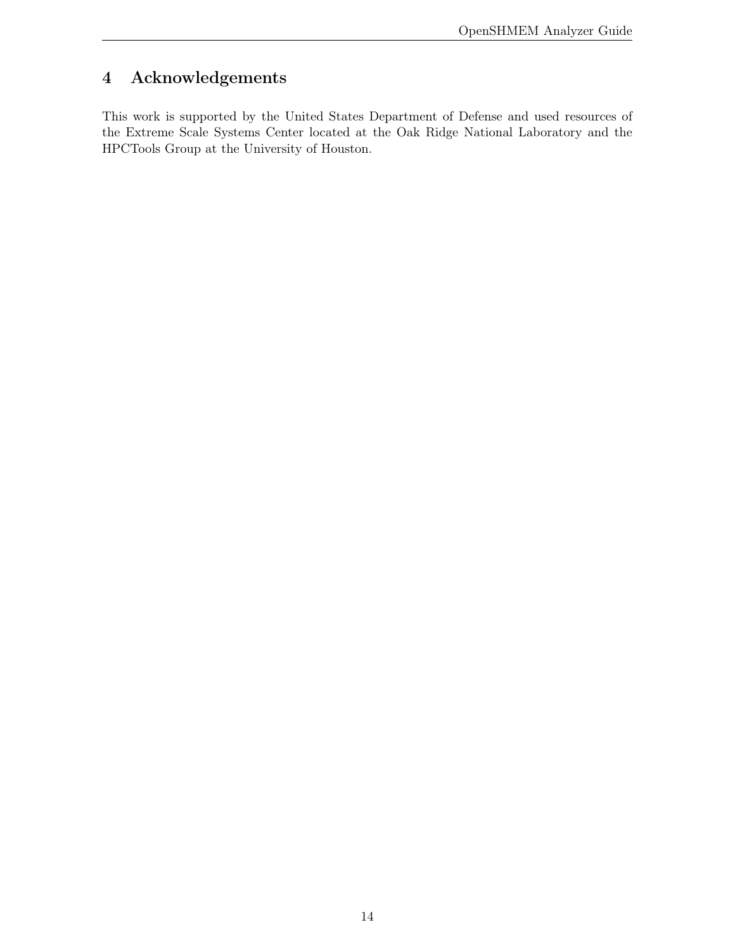# <span id="page-14-0"></span>4 Acknowledgements

This work is supported by the United States Department of Defense and used resources of the Extreme Scale Systems Center located at the Oak Ridge National Laboratory and the HPCTools Group at the University of Houston.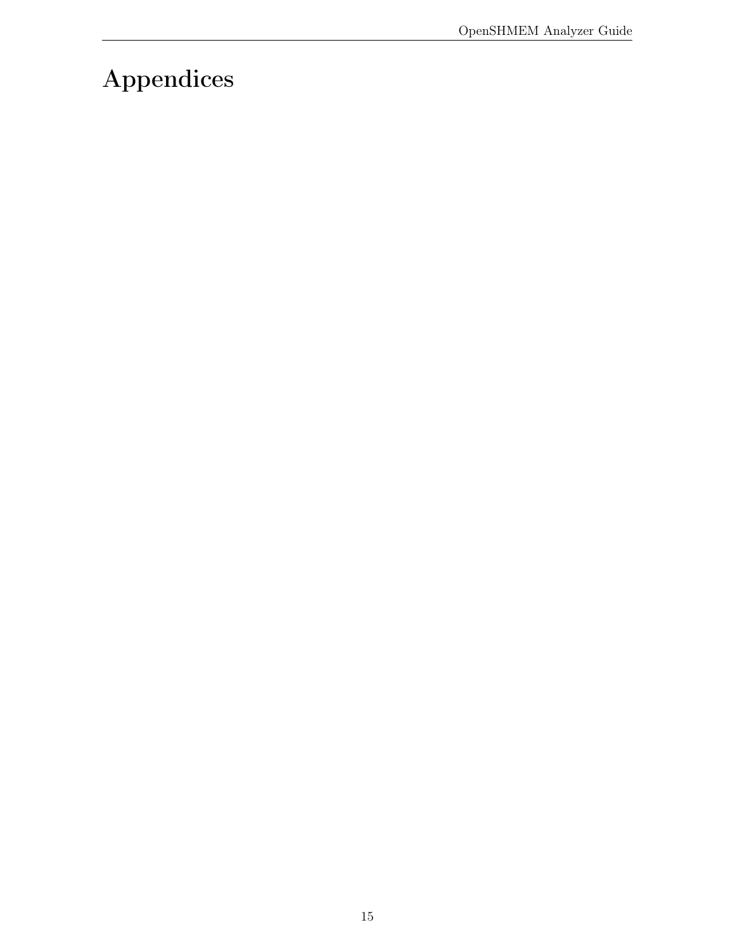# <span id="page-15-0"></span>Appendices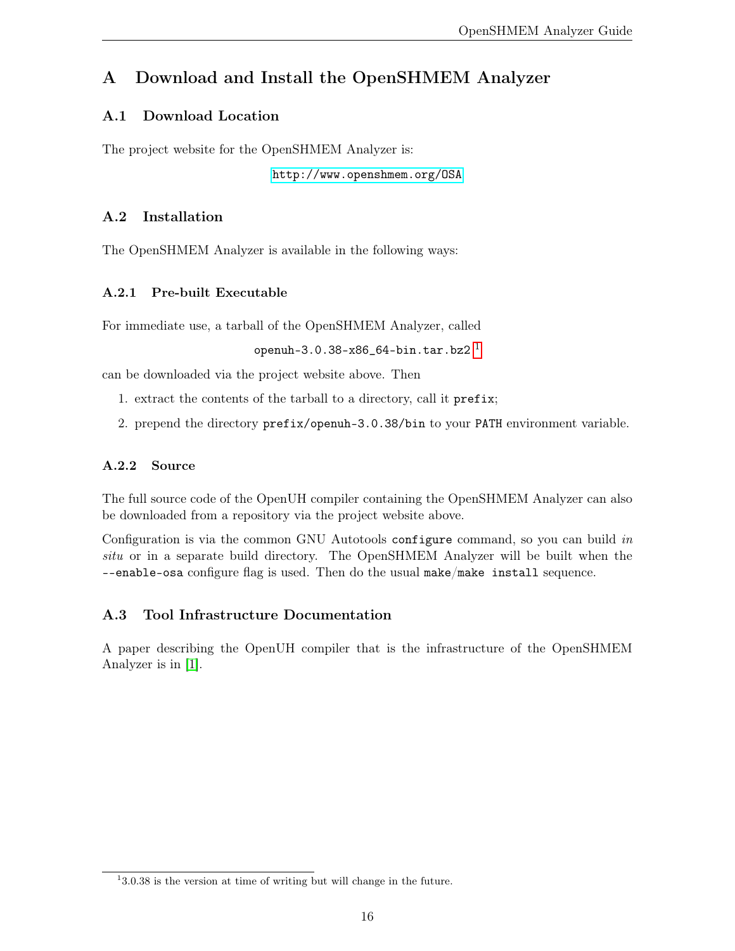# <span id="page-16-0"></span>A Download and Install the OpenSHMEM Analyzer

### <span id="page-16-1"></span>A.1 Download Location

The project website for the OpenSHMEM Analyzer is:

<http://www.openshmem.org/OSA>

### <span id="page-16-2"></span>A.2 Installation

The OpenSHMEM Analyzer is available in the following ways:

### <span id="page-16-3"></span>A.2.1 Pre-built Executable

For immediate use, a tarball of the OpenSHMEM Analyzer, called

openuh-3.0.38-x86\_64-bin.tar.bz $2<sup>1</sup>$  $2<sup>1</sup>$  $2<sup>1</sup>$ 

can be downloaded via the project website above. Then

- 1. extract the contents of the tarball to a directory, call it prefix;
- 2. prepend the directory prefix/openuh-3.0.38/bin to your PATH environment variable.

#### <span id="page-16-4"></span>A.2.2 Source

The full source code of the OpenUH compiler containing the OpenSHMEM Analyzer can also be downloaded from a repository via the project website above.

Configuration is via the common GNU Autotools configure command, so you can build in situ or in a separate build directory. The OpenSHMEM Analyzer will be built when the --enable-osa configure flag is used. Then do the usual make/make install sequence.

### <span id="page-16-5"></span>A.3 Tool Infrastructure Documentation

A paper describing the OpenUH compiler that is the infrastructure of the OpenSHMEM Analyzer is in [\[1\]](#page-18-2).

<span id="page-16-6"></span><sup>&</sup>lt;sup>1</sup>3.0.38 is the version at time of writing but will change in the future.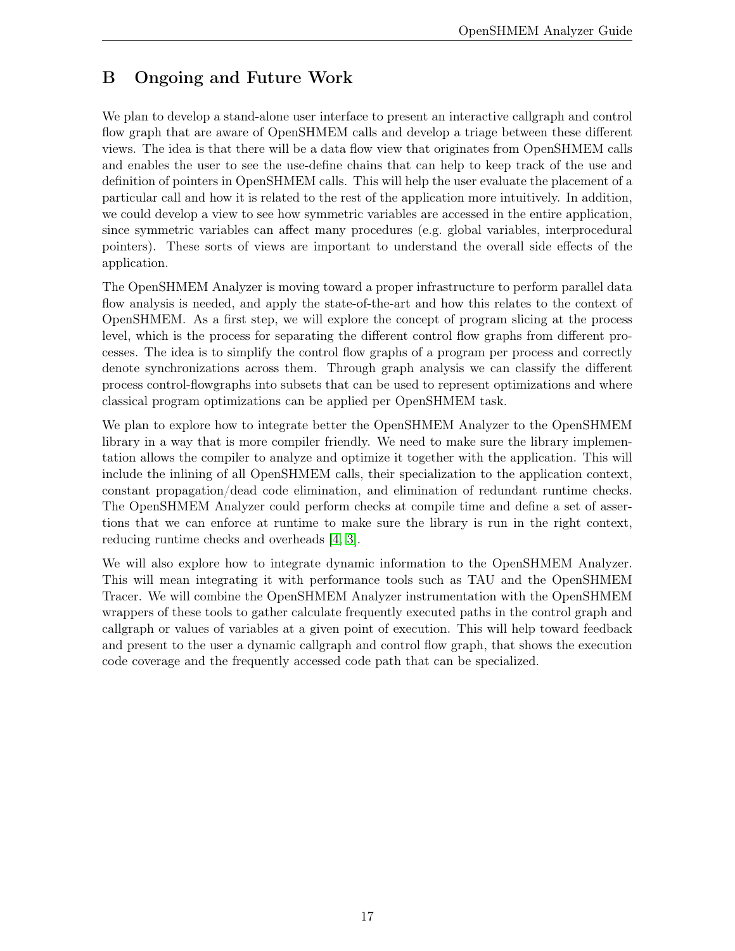# <span id="page-17-0"></span>B Ongoing and Future Work

We plan to develop a stand-alone user interface to present an interactive callgraph and control flow graph that are aware of OpenSHMEM calls and develop a triage between these different views. The idea is that there will be a data flow view that originates from OpenSHMEM calls and enables the user to see the use-define chains that can help to keep track of the use and definition of pointers in OpenSHMEM calls. This will help the user evaluate the placement of a particular call and how it is related to the rest of the application more intuitively. In addition, we could develop a view to see how symmetric variables are accessed in the entire application, since symmetric variables can affect many procedures (e.g. global variables, interprocedural pointers). These sorts of views are important to understand the overall side effects of the application.

The OpenSHMEM Analyzer is moving toward a proper infrastructure to perform parallel data flow analysis is needed, and apply the state-of-the-art and how this relates to the context of OpenSHMEM. As a first step, we will explore the concept of program slicing at the process level, which is the process for separating the different control flow graphs from different processes. The idea is to simplify the control flow graphs of a program per process and correctly denote synchronizations across them. Through graph analysis we can classify the different process control-flowgraphs into subsets that can be used to represent optimizations and where classical program optimizations can be applied per OpenSHMEM task.

We plan to explore how to integrate better the OpenSHMEM Analyzer to the OpenSHMEM library in a way that is more compiler friendly. We need to make sure the library implementation allows the compiler to analyze and optimize it together with the application. This will include the inlining of all OpenSHMEM calls, their specialization to the application context, constant propagation/dead code elimination, and elimination of redundant runtime checks. The OpenSHMEM Analyzer could perform checks at compile time and define a set of assertions that we can enforce at runtime to make sure the library is run in the right context, reducing runtime checks and overheads [\[4,](#page-18-3) [3\]](#page-18-4).

We will also explore how to integrate dynamic information to the OpenSHMEM Analyzer. This will mean integrating it with performance tools such as TAU and the OpenSHMEM Tracer. We will combine the OpenSHMEM Analyzer instrumentation with the OpenSHMEM wrappers of these tools to gather calculate frequently executed paths in the control graph and callgraph or values of variables at a given point of execution. This will help toward feedback and present to the user a dynamic callgraph and control flow graph, that shows the execution code coverage and the frequently accessed code path that can be specialized.